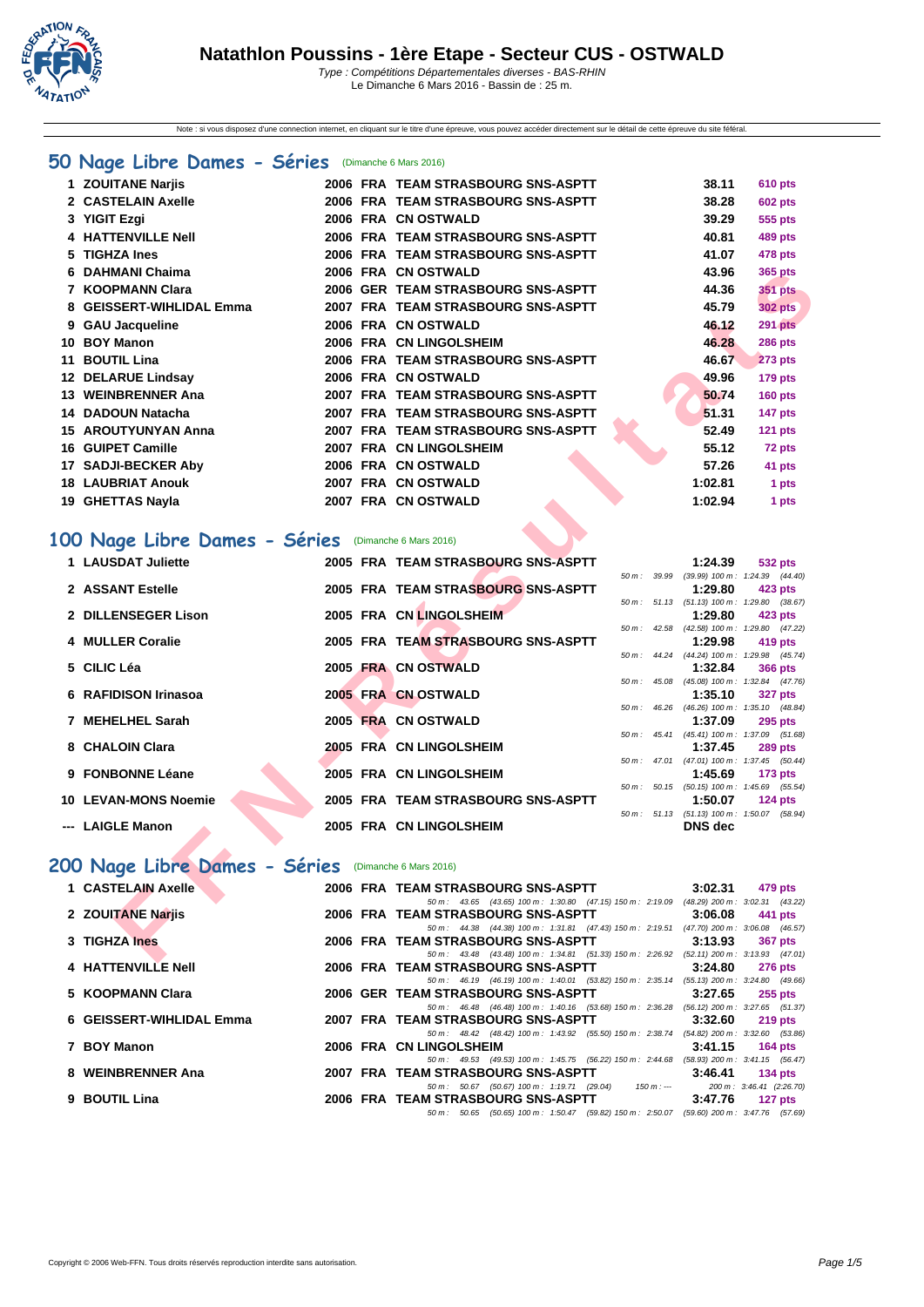

Note : si vous disposez d'une connection internet, en cliquant sur le titre d'une épreuve, vous pouvez accéder directement sur le détail de cette épreuve du site féféral.

# **[50 Na](http://www.ffnatation.fr/webffn/index.php)ge Libre Dames - Séries** (Dimanche 6 Mars 2016)

| 1 ZOUITANE Narijs          |  | 2006 FRA TEAM STRASBOURG SNS-ASPTT | 38.11   | <b>610 pts</b> |
|----------------------------|--|------------------------------------|---------|----------------|
| 2 CASTELAIN Axelle         |  | 2006 FRA TEAM STRASBOURG SNS-ASPTT | 38.28   | <b>602 pts</b> |
| 3 YIGIT Ezgi               |  | 2006 FRA CN OSTWALD                | 39.29   | 555 pts        |
| 4 HATTENVILLE Nell         |  | 2006 FRA TEAM STRASBOURG SNS-ASPTT | 40.81   | 489 pts        |
| 5 TIGHZA Ines              |  | 2006 FRA TEAM STRASBOURG SNS-ASPTT | 41.07   | 478 pts        |
| 6 DAHMANI Chaima           |  | 2006 FRA CN OSTWALD                | 43.96   | 365 pts        |
| 7 KOOPMANN Clara           |  | 2006 GER TEAM STRASBOURG SNS-ASPTT | 44.36   | <b>351 pts</b> |
| 8 GEISSERT-WIHLIDAL Emma   |  | 2007 FRA TEAM STRASBOURG SNS-ASPTT | 45.79   | <b>302 pts</b> |
| 9 GAU Jacqueline           |  | 2006 FRA CN OSTWALD                | 46.12   | <b>291 pts</b> |
| 10 BOY Manon               |  | 2006 FRA CN LINGOLSHEIM            | 46.28   | <b>286 pts</b> |
| 11 BOUTIL Lina             |  | 2006 FRA TEAM STRASBOURG SNS-ASPTT | 46.67   | <b>273 pts</b> |
| 12 DELARUE Lindsay         |  | 2006 FRA CN OSTWALD                | 49.96   | $179$ pts      |
| 13 WEINBRENNER Ana         |  | 2007 FRA TEAM STRASBOURG SNS-ASPTT | 50.74   | $160$ pts      |
| 14 DADOUN Natacha          |  | 2007 FRA TEAM STRASBOURG SNS-ASPTT | 51.31   | 147 pts        |
| <b>15 AROUTYUNYAN Anna</b> |  | 2007 FRA TEAM STRASBOURG SNS-ASPTT | 52.49   | $121$ pts      |
| 16 GUIPET Camille          |  | 2007 FRA CN LINGOLSHEIM            | 55.12   | 72 pts         |
| 17 SADJI-BECKER Aby        |  | 2006 FRA CN OSTWALD                | 57.26   | 41 pts         |
| <b>18 LAUBRIAT Anouk</b>   |  | 2007 FRA CN OSTWALD                | 1:02.81 | 1 pts          |
| 19 GHETTAS Nayla           |  | 2007 FRA CN OSTWALD                | 1:02.94 | 1 pts          |

## **100 Nage Libre Dames - Séries** (Dimanche 6 Mars 2016)

| DAHMANI Chaima                                                            |  | 2006 FRA CNOSTWALD                                                                                                             |             |                  | 43.96                                                 | <b>365 pts</b> |       |  |
|---------------------------------------------------------------------------|--|--------------------------------------------------------------------------------------------------------------------------------|-------------|------------------|-------------------------------------------------------|----------------|-------|--|
| 7 KOOPMANN Clara                                                          |  | 2006 GER TEAM STRASBOURG SNS-ASPTT                                                                                             |             |                  | 44.36                                                 | 351 pts        |       |  |
| 8 GEISSERT-WIHLIDAL Emma                                                  |  | 2007 FRA TEAM STRASBOURG SNS-ASPTT                                                                                             |             |                  | 45.79                                                 | <b>302 pts</b> |       |  |
| 9 GAU Jacqueline                                                          |  | 2006 FRA CN OSTWALD                                                                                                            |             |                  | 46.12                                                 | 291 pts        |       |  |
| 10 BOY Manon                                                              |  | 2006 FRA CN LINGOLSHEIM                                                                                                        |             |                  | 46.28                                                 | <b>286 pts</b> |       |  |
| 11 BOUTIL Lina                                                            |  | 2006 FRA TEAM STRASBOURG SNS-ASPTT                                                                                             |             |                  | 46.67                                                 | <b>273 pts</b> |       |  |
| 12 DELARUE Lindsay                                                        |  | 2006 FRA CN OSTWALD                                                                                                            |             |                  | 49.96                                                 | <b>179 pts</b> |       |  |
| 13 WEINBRENNER Ana                                                        |  | 2007 FRA TEAM STRASBOURG SNS-ASPTT                                                                                             |             |                  | 50.74                                                 | 160 pts        |       |  |
| 14 DADOUN Natacha                                                         |  | 2007 FRA TEAM STRASBOURG SNS-ASPTT                                                                                             |             |                  | 51.31                                                 | <b>147 pts</b> |       |  |
| <b>15 AROUTYUNYAN Anna</b>                                                |  | 2007 FRA TEAM STRASBOURG SNS-ASPTT                                                                                             |             |                  | 52.49                                                 | <b>121 pts</b> |       |  |
| 16 GUIPET Camille                                                         |  | 2007 FRA CN LINGOLSHEIM                                                                                                        |             |                  | 55.12                                                 | 72 pts         |       |  |
| 17 SADJI-BECKER Aby                                                       |  | 2006 FRA CN OSTWALD                                                                                                            |             |                  | 57.26                                                 | 41 pts         |       |  |
| <b>18 LAUBRIAT Anouk</b>                                                  |  | 2007 FRA CN OSTWALD                                                                                                            |             |                  | 1:02.81                                               |                | 1 pts |  |
| 19 GHETTAS Nayla                                                          |  | 2007 FRA CN OSTWALD                                                                                                            |             |                  | 1:02.94                                               |                | 1 pts |  |
| 00 Nage Libre Dames - Séries (Dimanche 6 Mars 2016)<br>1 LAUSDAT Juliette |  | 2005 FRA TEAM STRASBOURG SNS-ASPTT                                                                                             |             |                  | 1:24.39                                               | 532 pts        |       |  |
|                                                                           |  |                                                                                                                                | 50 m: 39.99 |                  | $(39.99)$ 100 m : 1:24.39 $(44.40)$                   |                |       |  |
| 2 ASSANT Estelle                                                          |  | 2005 FRA TEAM STRASBOURG SNS-ASPTT                                                                                             |             |                  | 1:29.80<br>50 m: 51.13 (51.13) 100 m: 1:29.80 (38.67) | 423 pts        |       |  |
| 2 DILLENSEGER Lison                                                       |  | 2005 FRA CN LINGOLSHEIM                                                                                                        |             |                  | 1:29.80                                               | 423 pts        |       |  |
|                                                                           |  |                                                                                                                                |             | 50 m : 42.58     | $(42.58)$ 100 m : 1:29.80 $(47.22)$                   |                |       |  |
| 4 MULLER Coralie                                                          |  | 2005 FRA TEAM STRASBOURG SNS-ASPTT                                                                                             |             | 50 m : 44.24     | 1:29.98<br>(44.24) 100 m: 1:29.98 (45.74)             | 419 pts        |       |  |
| 5 CILIC Léa                                                               |  | 2005 FRA CN OSTWALD                                                                                                            |             |                  | 1:32.84                                               | <b>366 pts</b> |       |  |
| 6 RAFIDISON Irinasoa                                                      |  | 2005 FRA CN OSTWALD                                                                                                            |             | 50 m : 45.08     | $(45.08)$ 100 m : 1:32.84 $(47.76)$<br>1:35.10        | <b>327 pts</b> |       |  |
|                                                                           |  |                                                                                                                                |             |                  | 50 m: 46.26 (46.26) 100 m: 1:35.10 (48.84)            |                |       |  |
| 7 MEHELHEL Sarah                                                          |  | 2005 FRA CN OSTWALD                                                                                                            |             |                  | 1:37.09                                               | <b>295 pts</b> |       |  |
| 8 CHALOIN Clara                                                           |  | 2005 FRA CN LINGOLSHEIM                                                                                                        |             |                  | 50 m: 45.41 (45.41) 100 m: 1:37.09 (51.68)<br>1:37.45 | <b>289 pts</b> |       |  |
|                                                                           |  |                                                                                                                                |             |                  | 50 m: 47.01 (47.01) 100 m: 1:37.45 (50.44)            |                |       |  |
| 9 FONBONNE Léane                                                          |  | 2005 FRA CN LINGOLSHEIM                                                                                                        |             |                  | 1:45.69                                               | <b>173 pts</b> |       |  |
| <b>10 LEVAN-MONS Noemie</b>                                               |  | 2005 FRA TEAM STRASBOURG SNS-ASPTT                                                                                             |             | $50 m$ : $50.15$ | $(50.15)$ 100 m : 1:45.69 $(55.54)$<br>1:50.07        | $124$ pts      |       |  |
|                                                                           |  |                                                                                                                                |             |                  | 50 m: 51.13 (51.13) 100 m: 1:50.07 (58.94)            |                |       |  |
| --- LAIGLE Manon                                                          |  | 2005 FRA CN LINGOLSHEIM                                                                                                        |             |                  | <b>DNS</b> dec                                        |                |       |  |
| 00 Nage Libre Dames - Séries                                              |  | (Dimanche 6 Mars 2016)                                                                                                         |             |                  |                                                       |                |       |  |
| 1 CASTELAIN Axelle                                                        |  | 2006 FRA TEAM STRASBOURG SNS-ASPTT<br>50 m: 43.65 (43.65) 100 m: 1:30.80 (47.15) 150 m: 2:19.09 (48.29) 200 m: 3:02.31 (43.22) |             |                  | 3:02.31                                               | 479 pts        |       |  |
| 2 ZOUITANE Narjis                                                         |  | 2006 FRA TEAM STRASBOURG SNS-ASPTT                                                                                             |             |                  | 3:06.08                                               | 441 pts        |       |  |
|                                                                           |  | 50 m: 44.38 (44.38) 100 m: 1:31.81 (47.43) 150 m: 2:19.51 (47.70) 200 m: 3:06.08 (46.57)                                       |             |                  |                                                       |                |       |  |
| 3 TIGHZA Ines                                                             |  | 2006 FRA TEAM STRASBOURG SNS-ASPTT<br>50 m: 43.48 (43.48) 100 m: 1:34.81 (51.33) 150 m: 2:26.92 (52.11) 200 m: 3:13.93 (47.01) |             |                  | 3:13.93                                               | <b>367 pts</b> |       |  |
|                                                                           |  |                                                                                                                                |             |                  |                                                       |                |       |  |

# 200 Nage Libre Dames - Séries (Dimanche 6 Mars 2016)

| 1 CASTELAIN Axelle       |  | 2006 FRA TEAM STRASBOURG SNS-ASPTT                                                       | 3:02.31 | 479 pts                                                   |
|--------------------------|--|------------------------------------------------------------------------------------------|---------|-----------------------------------------------------------|
|                          |  | 50 m : 43.65 (43.65) 100 m : 1:30.80 (47.15) 150 m : 2:19.09                             |         | $(48.29)$ 200 m : 3:02.31 $(43.22)$                       |
| 2 ZOUITANE Narjis        |  | 2006 FRA TEAM STRASBOURG SNS-ASPTT                                                       | 3:06.08 | 441 pts                                                   |
|                          |  | 50 m: 44.38 (44.38) 100 m: 1:31.81 (47.43) 150 m: 2:19.51 (47.70) 200 m: 3:06.08 (46.57) |         |                                                           |
| 3 TIGHZA Ines            |  | 2006 FRA TEAM STRASBOURG SNS-ASPTT                                                       | 3:13.93 | <b>367 pts</b>                                            |
|                          |  | 50 m: 43.48 (43.48) 100 m: 1:34.81 (51.33) 150 m: 2:26.92 (52.11) 200 m: 3:13.93 (47.01) |         |                                                           |
| 4 HATTENVILLE Nell       |  | 2006 FRA TEAM STRASBOURG SNS-ASPTT                                                       | 3:24.80 | <b>276 pts</b>                                            |
|                          |  | 50 m: 46.19 (46.19) 100 m: 1:40.01 (53.82) 150 m: 2:35.14 (55.13) 200 m: 3:24.80 (49.66) |         |                                                           |
| 5 KOOPMANN Clara         |  | 2006 GER TEAM STRASBOURG SNS-ASPTT                                                       | 3:27.65 | $255$ pts                                                 |
|                          |  | 50 m : 46.48 (46.48) 100 m : 1:40.16 (53.68) 150 m : 2:36.28                             |         | $(56.12)$ 200 m : 3:27.65 $(51.37)$                       |
| 6 GEISSERT-WIHLIDAL Emma |  | 2007 FRA TEAM STRASBOURG SNS-ASPTT                                                       | 3:32.60 | $219$ pts                                                 |
|                          |  | 50 m: 48.42 (48.42) 100 m: 1:43.92 (55.50) 150 m: 2:38.74 (54.82) 200 m: 3:32.60 (53.86) |         |                                                           |
| 7 BOY Manon              |  | 2006 FRA CN LINGOLSHEIM                                                                  | 3:41.15 | 164 $pts$                                                 |
|                          |  | 50 m: 49.53 (49.53) 100 m: 1:45.75 (56.22) 150 m: 2:44.68 (58.93) 200 m: 3:41.15 (56.47) |         |                                                           |
| 8 WEINBRENNER Ana        |  | 2007 FRA TEAM STRASBOURG SNS-ASPTT                                                       | 3:46.41 | 134 $pts$                                                 |
|                          |  | 50 m : 50.67 (50.67) 100 m : 1:19.71 (29.04)                                             |         | $150 \text{ m}$ : --- $200 \text{ m}$ : 3:46.41 (2:26.70) |
| 9 BOUTIL Lina            |  | 2006 FRA TEAM STRASBOURG SNS-ASPTT                                                       | 3:47.76 | 127 pts                                                   |
|                          |  | 50 m: 50.65 (50.65) 100 m: 1:50.47 (59.82) 150 m: 2:50.07 (59.60) 200 m: 3:47.76 (57.69) |         |                                                           |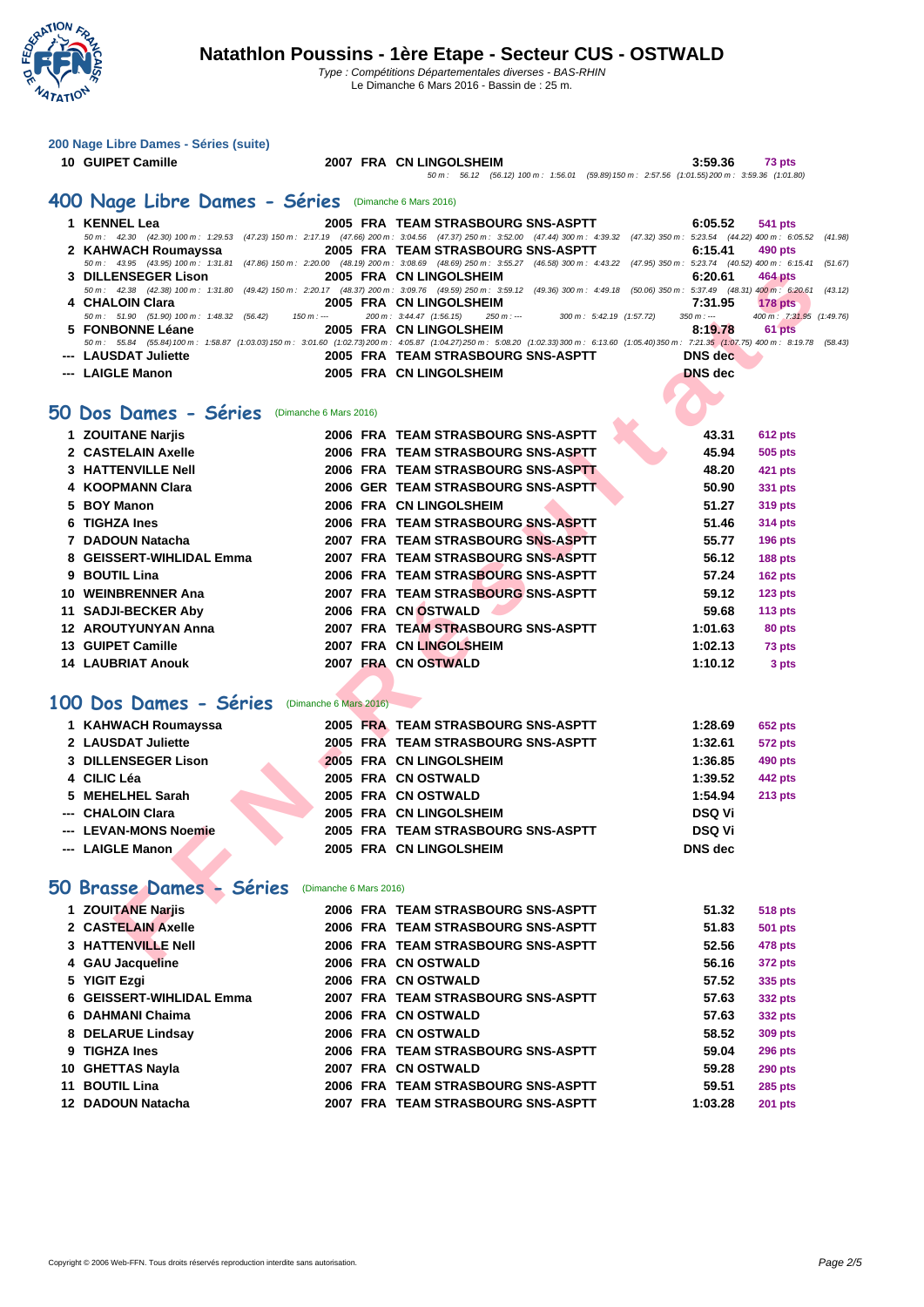

Le Dimanche 6 Mars 2016 - Bassin de : 25 m.

|    | 200 Nage Libre Dames - Séries (suite)                       |                        |                                                                                                                                                                                                                             |                    |                           |
|----|-------------------------------------------------------------|------------------------|-----------------------------------------------------------------------------------------------------------------------------------------------------------------------------------------------------------------------------|--------------------|---------------------------|
|    | 10 GUIPET Camille                                           |                        | 2007 FRA CN LINGOLSHEIM                                                                                                                                                                                                     | 3:59.36            | 73 pts                    |
|    |                                                             |                        | 50 m: 56.12 (56.12) 100 m: 1:56.01 (59.89) 150 m: 2:57.56 (1:01.55) 200 m: 3:59.36 (1:01.80)                                                                                                                                |                    |                           |
|    | 400 Nage Libre Dames - Séries (Dimanche 6 Mars 2016)        |                        |                                                                                                                                                                                                                             |                    |                           |
|    | 1 KENNEL Lea                                                |                        | 2005 FRA TEAM STRASBOURG SNS-ASPTT                                                                                                                                                                                          | 6:05.52            | 541 pts                   |
|    |                                                             |                        | 50 m: 42.30 (42.30) 100 m: 1:29.53 (47.23) 150 m: 2:17.19 (47.66) 200 m: 3:04.56 (47.37) 250 m: 3:52.00 (47.44) 300 m: 4:39.32 (47.32) 350 m: 5:23.54 (44.22) 400 m: 6:05.52                                                |                    | (41.98)                   |
|    | 2 KAHWACH Roumayssa<br>50 m : 43.95 (43.95) 100 m : 1:31.81 |                        | 2005 FRA TEAM STRASBOURG SNS-ASPTT<br>(47.86) 150 m : 2:20.00 (48.19) 200 m : 3:08.69 (48.69) 250 m : 3:55.27 (46.58) 300 m : 4:43.22 (47.95) 350 m : 5:23.74 (40.52) 400 m : 6:15.41                                       | 6:15.41            | 490 pts<br>(51.67)        |
|    | 3 DILLENSEGER Lison                                         |                        | 2005 FRA CN LINGOLSHEIM                                                                                                                                                                                                     | 6:20.61            | 464 pts                   |
|    | 50 m : 42.38 (42.38) 100 m : 1:31.80<br>4 CHALOIN Clara     |                        | (49.42) 150 m : 2:20.17 (48.37) 200 m : 3:09.76 (49.59) 250 m : 3:59.12 (49.36) 300 m : 4:49.18 (50.06) 350 m : 5:37.49 (48.31) 400 m : 6:20.61<br>2005 FRA CN LINGOLSHEIM                                                  | 7:31.95            | (43.12)<br><b>178 pts</b> |
|    | 50 m: 51.90 (51.90) 100 m: 1:48.32 (56.42)<br>$150 m$ : --- |                        | 200 m: 3:44.47 (1:56.15)<br>$300 \text{ m}$ : 5:42.19 $(1:57.72)$<br>$250 m: -$                                                                                                                                             | $350 m: -$         | 400 m: 7:31.95 (1:49.76)  |
|    | 5 FONBONNE Léane                                            |                        | 2005 FRA CN LINGOLSHEIM<br>50 m: 55.84 (55.84) 100 m: 1:58.87 (1:03.03) 150 m: 3:01.60 (1:02.73) 200 m: 4:05.87 (1:04.27) 250 m: 5:08.20 (1:02.33) 300 m: 6:13.60 (1:05.40) 350 m: 7:21.35 (1:07.75) 400 m: 8:19.78 (58.43) | 8:19.78            | 61 pts                    |
|    | --- LAUSDAT Juliette                                        |                        | 2005 FRA TEAM STRASBOURG SNS-ASPTT                                                                                                                                                                                          | DNS dec            |                           |
|    | --- LAIGLE Manon                                            |                        | 2005 FRA CN LINGOLSHEIM                                                                                                                                                                                                     | <b>DNS</b> dec     |                           |
|    |                                                             |                        |                                                                                                                                                                                                                             |                    |                           |
|    | 50 Dos Dames - Séries<br>(Dimanche 6 Mars 2016)             |                        |                                                                                                                                                                                                                             |                    |                           |
|    | 1 ZOUITANE Nariis                                           |                        | 2006 FRA TEAM STRASBOURG SNS-ASPTT                                                                                                                                                                                          | 43.31              | 612 pts                   |
|    | 2 CASTELAIN Axelle                                          |                        | 2006 FRA TEAM STRASBOURG SNS-ASPTT                                                                                                                                                                                          | 45.94              | <b>505 pts</b>            |
|    | <b>3 HATTENVILLE Nell</b>                                   |                        | 2006 FRA TEAM STRASBOURG SNS-ASPTT                                                                                                                                                                                          | 48.20              | 421 pts                   |
|    | 4 KOOPMANN Clara                                            |                        | 2006 GER TEAM STRASBOURG SNS-ASPTT                                                                                                                                                                                          | 50.90              | 331 pts                   |
| 5. | <b>BOY Manon</b>                                            |                        | 2006 FRA CN LINGOLSHEIM                                                                                                                                                                                                     | 51.27              | <b>319 pts</b>            |
| 6  | <b>TIGHZA Ines</b>                                          |                        | 2006 FRA TEAM STRASBOURG SNS-ASPTT                                                                                                                                                                                          | 51.46              | 314 pts                   |
|    | 7 DADOUN Natacha                                            |                        | 2007 FRA TEAM STRASBOURG SNS-ASPTT                                                                                                                                                                                          | 55.77              | <b>196 pts</b>            |
| 8  | <b>GEISSERT-WIHLIDAL Emma</b>                               |                        | 2007 FRA TEAM STRASBOURG SNS-ASPTT                                                                                                                                                                                          | 56.12              | <b>188 pts</b>            |
|    | 9 BOUTIL Lina                                               |                        | 2006 FRA TEAM STRASBOURG SNS-ASPTT                                                                                                                                                                                          | 57.24              | <b>162 pts</b>            |
|    | 10 WEINBRENNER Ana                                          |                        | 2007 FRA TEAM STRASBOURG SNS-ASPTT                                                                                                                                                                                          | 59.12              | <b>123 pts</b>            |
|    | 11 SADJI-BECKER Aby                                         |                        | 2006 FRA CN OSTWALD                                                                                                                                                                                                         | 59.68              | 113 $pts$                 |
|    | <b>12 AROUTYUNYAN Anna</b>                                  |                        | 2007 FRA TEAM STRASBOURG SNS-ASPTT                                                                                                                                                                                          | 1:01.63            | 80 pts                    |
|    | 13 GUIPET Camille<br><b>14 LAUBRIAT Anouk</b>               |                        | 2007 FRA CN LINGOLSHEIM<br>2007 FRA CN OSTWALD                                                                                                                                                                              | 1:02.13<br>1:10.12 | 73 pts                    |
|    |                                                             |                        |                                                                                                                                                                                                                             |                    | 3 pts                     |
|    | 100 Dos Dames - Séries                                      | (Dimanche 6 Mars 2016) |                                                                                                                                                                                                                             |                    |                           |
|    |                                                             |                        |                                                                                                                                                                                                                             |                    |                           |
|    | 1 KAHWACH Roumayssa                                         |                        | 2005 FRA TEAM STRASBOURG SNS-ASPTT                                                                                                                                                                                          | 1:28.69            | 652 pts                   |
|    | 2 LAUSDAT Juliette<br><b>3 DILLENSEGER Lison</b>            |                        | 2005 FRA TEAM STRASBOURG SNS-ASPTT<br>2005 FRA CN LINGOLSHEIM                                                                                                                                                               | 1:32.61<br>1:36.85 | 572 pts                   |
|    | 4 CILIC Léa                                                 |                        | 2005 FRA CN OSTWALD                                                                                                                                                                                                         | 1:39.52            | 490 pts<br>442 pts        |
| 5  | <b>MEHELHEL Sarah</b>                                       |                        | 2005 FRA CN OSTWALD                                                                                                                                                                                                         | 1:54.94            | <b>213 pts</b>            |
|    | --- CHALOIN Clara                                           |                        | 2005 FRA CN LINGOLSHEIM                                                                                                                                                                                                     | <b>DSQ Vi</b>      |                           |
|    | --- LEVAN-MONS Noemie                                       |                        | 2005 FRA TEAM STRASBOURG SNS-ASPTT                                                                                                                                                                                          | <b>DSQ Vi</b>      |                           |
|    | --- LAIGLE Manon                                            |                        | 2005 FRA CN LINGOLSHEIM                                                                                                                                                                                                     | <b>DNS</b> dec     |                           |
|    |                                                             |                        |                                                                                                                                                                                                                             |                    |                           |
|    | 50 Brasse Dames - Séries                                    | (Dimanche 6 Mars 2016) |                                                                                                                                                                                                                             |                    |                           |
|    | 1 ZOUITANE Narjis                                           |                        | 2006 FRA TEAM STRASBOURG SNS-ASPTT                                                                                                                                                                                          | 51.32              | <b>518 pts</b>            |
|    | 2 CASTELAIN Axelle                                          |                        | 2006 FRA TEAM STRASBOURG SNS-ASPTT                                                                                                                                                                                          | 51.83              | 501 pts                   |
|    | <b>3 HATTENVILLE Nell</b>                                   |                        | 2006 FRA TEAM STRASBOURG SNS-ASPTT                                                                                                                                                                                          | 52.56              | 478 pts                   |
|    | 4 GAU Jacqueline                                            |                        | 2006 FRA CN OSTWALD                                                                                                                                                                                                         | 56.16              | 372 pts                   |
|    | 5 YIGIT Ezgi                                                |                        | 2006 FRA CN OSTWALD                                                                                                                                                                                                         | 57.52              | 335 pts                   |
| 6  | <b>GEISSERT-WIHLIDAL Emma</b>                               |                        | 2007 FRA TEAM STRASBOURG SNS-ASPTT                                                                                                                                                                                          | 57.63              | 332 pts                   |
|    | 6 DAHMANI Chaima                                            |                        | 2006 FRA CN OSTWALD                                                                                                                                                                                                         | 57.63              | 332 pts                   |
|    | 8 DELARUE Lindsay                                           |                        | 2006 FRA CN OSTWALD                                                                                                                                                                                                         | 58.52              | <b>309 pts</b>            |
|    | 9 TIGHZA Ines                                               |                        | 2006 FRA TEAM STRASBOURG SNS-ASPTT                                                                                                                                                                                          | 59.04              | <b>296 pts</b>            |
|    | 10 GHETTAS Nayla                                            |                        | 2007 FRA CN OSTWALD                                                                                                                                                                                                         | 59.28              | <b>290 pts</b>            |
|    | 11 BOUTIL Lina                                              |                        | 2006 FRA TEAM STRASBOURG SNS-ASPTT                                                                                                                                                                                          | 59.51              | <b>285 pts</b>            |
|    | 12 DADOUN Natacha                                           |                        | 2007 FRA TEAM STRASBOURG SNS-ASPTT                                                                                                                                                                                          | 1:03.28            | <b>201 pts</b>            |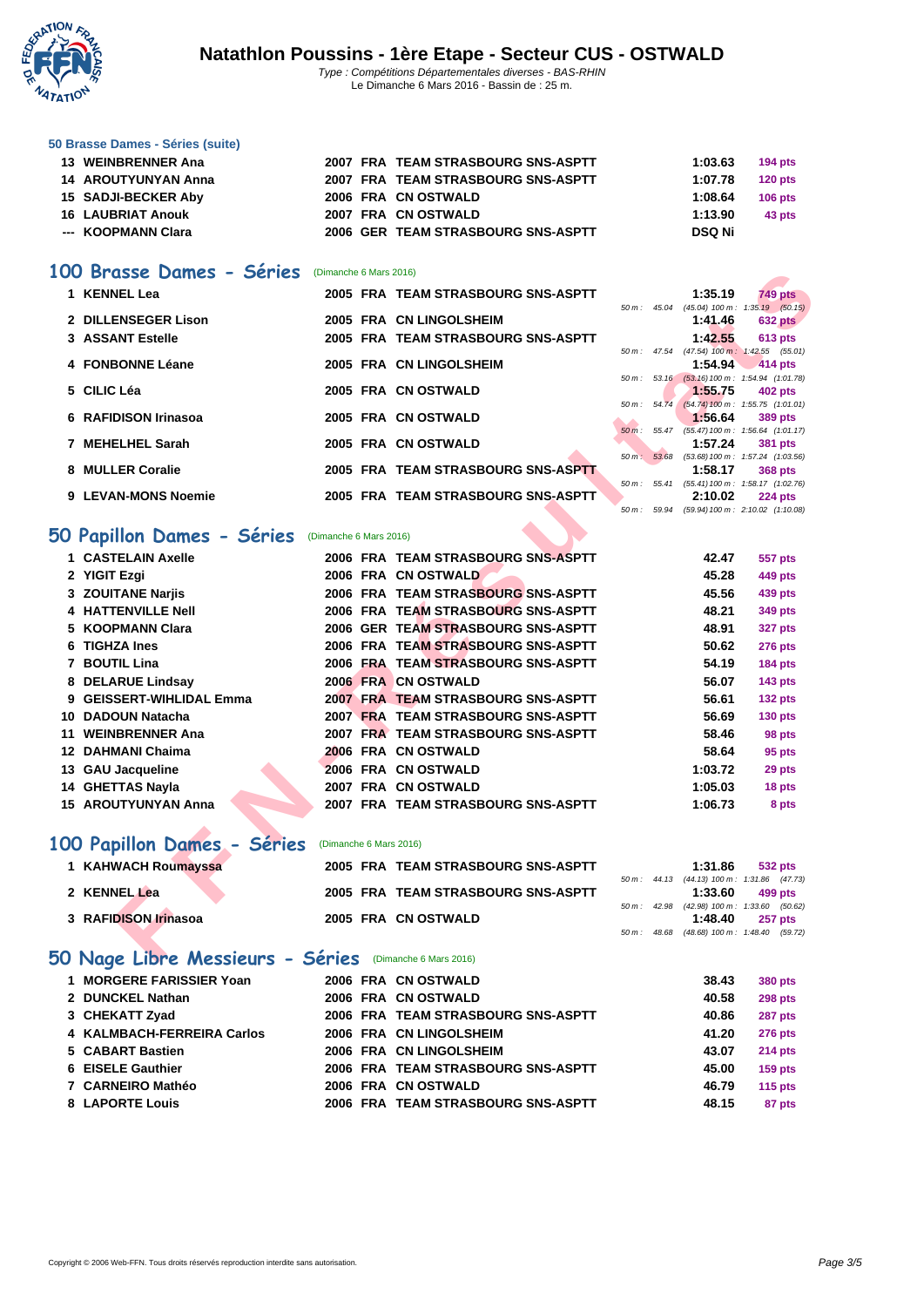

#### **[50 Brasse](http://www.ffnatation.fr/webffn/index.php) Dames - Séries (suite)**

| 13 WEINBRENNER Ana       |  | 2007 FRA TEAM STRASBOURG SNS-ASPTT | 1:03.63 | 194 $pts$ |
|--------------------------|--|------------------------------------|---------|-----------|
| 14 AROUTYUNYAN Anna      |  | 2007 FRA TEAM STRASBOURG SNS-ASPTT | 1:07.78 | $120$ pts |
| 15 SADJI-BECKER Aby      |  | 2006 FRA CN OSTWALD                | 1:08.64 | $106$ pts |
| <b>16 LAUBRIAT Anouk</b> |  | 2007 FRA CN OSTWALD                | 1:13.90 | 43 pts    |
| --- KOOPMANN Clara       |  | 2006 GER TEAM STRASBOURG SNS-ASPTT | DSQ Ni  |           |

#### **100 Brasse Dames - Séries** (Dimanche 6 Mars 2016)

| 1 KENNEL Lea         |  | 2005 FRA TEAM STRASBOURG SNS-ASPTT |                          | 1:35.19                                      | 749 pts        |  |
|----------------------|--|------------------------------------|--------------------------|----------------------------------------------|----------------|--|
|                      |  |                                    | $50 \text{ m}$ : $45.04$ | (45.04) 100 m : 1:35.19 (50.15)              |                |  |
| 2 DILLENSEGER Lison  |  | 2005 FRA CN LINGOLSHEIM            |                          | 1:41.46                                      | 632 pts        |  |
| 3 ASSANT Estelle     |  | 2005 FRA TEAM STRASBOURG SNS-ASPTT |                          | 1:42.55                                      | <b>613 pts</b> |  |
|                      |  |                                    | 50 m: 47.54              | $(47.54)$ 100 m : 1:42.55 $(55.01)$          |                |  |
| 4 FONBONNE Léane     |  | 2005 FRA CN LINGOLSHEIM            |                          | 1:54.94 $414 \text{ pts}$                    |                |  |
|                      |  |                                    |                          | 50 m: 53.16 (53.16) 100 m: 1:54.94 (1:01.78) |                |  |
| 5 CILIC Léa          |  | 2005 FRA CN OSTWALD                |                          | 1:55.75                                      | 402 pts        |  |
|                      |  |                                    | $50 \text{ m}$ : $54.74$ | $(54.74)$ 100 m : 1:55.75 $(1:01.01)$        |                |  |
| 6 RAFIDISON Irinasoa |  | 2005 FRA CN OSTWALD                |                          | 1:56.64                                      | 389 pts        |  |
|                      |  |                                    |                          | 50 m: 55.47 (55.47) 100 m: 1:56.64 (1:01.17) |                |  |
| 7 MEHELHEL Sarah     |  | 2005 FRA CN OSTWALD                |                          | 1:57.24                                      | <b>381 pts</b> |  |
|                      |  |                                    | 50 m: 53.68              | (53.68) 100 m: 1:57.24 (1:03.56)             |                |  |
| 8 MULLER Coralie     |  | 2005 FRA TEAM STRASBOURG SNS-ASPTT |                          | 1:58.17                                      | 368 pts        |  |
|                      |  |                                    | 50 m: 55.41              | (55.41) 100 m: 1:58.17 (1:02.76)             |                |  |
| 9 LEVAN-MONS Noemie  |  | 2005 FRA TEAM STRASBOURG SNS-ASPTT |                          | 2:10.02                                      | <b>224 pts</b> |  |
|                      |  |                                    |                          | 50 m: 59.94 (59.94) 100 m: 2:10.02 (1:10.08) |                |  |

## **50 Papillon Dames - Séries** (Dimanche 6 Mars 2016)

| <b>UU</b> | Brasse Dames - Series                                       | (Dimanche 6 Mars 2016) |                                    |          |                          |                           |                                                              |
|-----------|-------------------------------------------------------------|------------------------|------------------------------------|----------|--------------------------|---------------------------|--------------------------------------------------------------|
|           | 1 KENNEL Lea                                                |                        | 2005 FRA TEAM STRASBOURG SNS-ASPTT |          |                          | 1:35.19                   | <b>749 pts</b>                                               |
|           | 2 DILLENSEGER Lison                                         |                        | 2005 FRA CN LINGOLSHEIM            |          |                          | 1:41.46                   | 50 m: 45.04 (45.04) 100 m: 1:35.19 (50.15)<br><b>632 pts</b> |
|           | 3 ASSANT Estelle                                            |                        | 2005 FRA TEAM STRASBOURG SNS-ASPTT |          |                          | 1:42.55                   | <b>613 pts</b>                                               |
|           |                                                             |                        |                                    |          |                          |                           | 50 m: 47.54 (47.54) 100 m: 1:42.55 (55.01)                   |
|           | 4 FONBONNE Léane                                            |                        | 2005 FRA CN LINGOLSHEIM            |          |                          | 1:54.94                   | 414 pts                                                      |
|           |                                                             |                        |                                    | $50 m$ : |                          |                           | 53.16 (53.16) 100 m: 1:54.94 (1:01.78)                       |
|           | 5 CILIC Léa                                                 |                        | 2005 FRA CN OSTWALD                |          |                          | 1:55.75                   | 402 pts                                                      |
|           | 6 RAFIDISON Irinasoa                                        |                        | 2005 FRA CN OSTWALD                | $50 m$ : |                          | 1:56.64                   | 54.74 (54.74) 100 m: 1:55.75 (1:01.01)<br>389 pts            |
|           |                                                             |                        |                                    |          | $50 \text{ m}$ : $55.47$ |                           | $(55.47)$ 100 m : 1:56.64 $(1:01.17)$                        |
|           | 7 MEHELHEL Sarah                                            |                        | 2005 FRA CN OSTWALD                |          |                          | 1:57.24                   | 381 pts                                                      |
|           |                                                             |                        |                                    |          | 50 m: 53.68              |                           | (53.68) 100 m: 1:57.24 (1:03.56)                             |
|           | 8 MULLER Coralie                                            |                        | 2005 FRA TEAM STRASBOURG SNS-ASPTT |          | 50 m: 55.41              | 1:58.17                   | <b>368 pts</b><br>(55.41) 100 m: 1:58.17 (1:02.76)           |
|           | 9 LEVAN-MONS Noemie                                         |                        | 2005 FRA TEAM STRASBOURG SNS-ASPTT |          |                          | 2:10.02                   | $224$ pts                                                    |
|           |                                                             |                        |                                    |          | 50 m : 59.94             |                           | (59.94) 100 m : 2:10.02 (1:10.08)                            |
|           | 50 Papillon Dames - Séries                                  | (Dimanche 6 Mars 2016) |                                    |          |                          |                           |                                                              |
|           | 1 CASTELAIN Axelle                                          |                        | 2006 FRA TEAM STRASBOURG SNS-ASPTT |          |                          | 42.47                     | 557 pts                                                      |
|           | 2 YIGIT Ezgi                                                |                        | 2006 FRA CN OSTWALD                |          |                          | 45.28                     | 449 pts                                                      |
|           | 3 ZOUITANE Narjis                                           |                        | 2006 FRA TEAM STRASBOURG SNS-ASPTT |          |                          | 45.56                     | 439 pts                                                      |
|           |                                                             |                        |                                    |          |                          |                           |                                                              |
|           | <b>4 HATTENVILLE Nell</b>                                   |                        | 2006 FRA TEAM STRASBOURG SNS-ASPTT |          |                          | 48.21                     | 349 pts                                                      |
|           | 5 KOOPMANN Clara                                            |                        | 2006 GER TEAM STRASBOURG SNS-ASPTT |          |                          | 48.91                     | <b>327 pts</b>                                               |
|           | 6 TIGHZA Ines                                               |                        | 2006 FRA TEAM STRASBOURG SNS-ASPTT |          |                          | 50.62                     | <b>276 pts</b>                                               |
|           | 7 BOUTIL Lina                                               |                        | 2006 FRA TEAM STRASBOURG SNS-ASPTT |          |                          | 54.19                     | <b>184 pts</b>                                               |
|           | 8 DELARUE Lindsay                                           |                        | 2006 FRA CN OSTWALD                |          |                          | 56.07                     | <b>143 pts</b>                                               |
|           | 9 GEISSERT-WIHLIDAL Emma                                    |                        | 2007 FRA TEAM STRASBOURG SNS-ASPTT |          |                          | 56.61                     | <b>132 pts</b>                                               |
| 10.       | <b>DADOUN Natacha</b>                                       |                        | 2007 FRA TEAM STRASBOURG SNS-ASPTT |          |                          | 56.69                     | 130 pts                                                      |
| 11        | <b>WEINBRENNER Ana</b>                                      |                        | 2007 FRA TEAM STRASBOURG SNS-ASPTT |          |                          | 58.46                     | 98 pts                                                       |
| 12        | <b>DAHMANI Chaima</b>                                       |                        | 2006 FRA CN OSTWALD                |          |                          | 58.64                     | 95 pts                                                       |
|           | 13 GAU Jacqueline                                           |                        | 2006 FRA CN OSTWALD                |          |                          | 1:03.72                   | 29 pts                                                       |
|           | 14 GHETTAS Nayla                                            |                        | 2007 FRA CN OSTWALD                |          |                          | 1:05.03                   | 18 pts                                                       |
|           | <b>15 AROUTYUNYAN Anna</b>                                  |                        | 2007 FRA TEAM STRASBOURG SNS-ASPTT |          |                          | 1:06.73                   | 8 pts                                                        |
|           |                                                             |                        |                                    |          |                          |                           |                                                              |
|           | 00 Papillon Dames - Séries                                  | (Dimanche 6 Mars 2016) |                                    |          |                          |                           |                                                              |
|           | 1 KAHWACH Roumayssa                                         |                        | 2005 FRA TEAM STRASBOURG SNS-ASPTT |          |                          | 1:31.86                   | 532 pts                                                      |
|           |                                                             |                        |                                    |          |                          |                           | 50 m: 44.13 (44.13) 100 m: 1:31.86 (47.73)                   |
|           | 2 KENNEL Lea                                                |                        | 2005 FRA TEAM STRASBOURG SNS-ASPTT |          |                          | 1:33.60                   | 499 pts                                                      |
|           | 3 RAFIDISON Irinasoa                                        |                        | 2005 FRA CN OSTWALD                |          | 50 m: 42.98              | 1:48.40                   | $(42.98)$ 100 m : 1:33.60 $(50.62)$<br>257 pts               |
|           |                                                             |                        |                                    |          | 50 m: 48.68              | $(48.68)$ 100 m : 1:48.40 | (59.72)                                                      |
|           |                                                             |                        |                                    |          |                          |                           |                                                              |
|           | $50$ Ngoe Libre Messieurs - Séries $(Dimanche 6 Mars 2016)$ |                        |                                    |          |                          |                           |                                                              |

## **100 Papillon Dames - Séries** (Dimanche 6 Mars 2016)

| 1 KAHWACH Roumayssa                                     | 2005 FRA TEAM STRASBOURG SNS-ASPTT |                        | 1:31.86                                               | 532 pts        |
|---------------------------------------------------------|------------------------------------|------------------------|-------------------------------------------------------|----------------|
| 2 KENNEL Lea                                            | 2005 FRA TEAM STRASBOURG SNS-ASPTT |                        | 50 m: 44.13 (44.13) 100 m: 1:31.86 (47.73)<br>1:33.60 | 499 pts        |
| 3 RAFIDISON Irinasoa                                    | 2005 FRA CN OSTWALD                | $50 \text{ m}$ : 42.98 | $(42.98)$ 100 m : 1:33.60 $(50.62)$<br>1:48.40        | <b>257 pts</b> |
|                                                         |                                    |                        | 50 m: 48.68 (48.68) 100 m: 1:48.40 (59.72)            |                |
| 50 Nage Libre Messieurs - Séries (Dimanche 6 Mars 2016) |                                    |                        |                                                       |                |

#### **MORGERE FARISSIER Yoan 2006 FRA CN OSTWALD 38.43 380 pts DUNCKEL Nathan 2006 FRA CN OSTWALD 40.58 298 pts CHEKATT Zyad 2006 FRA TEAM STRASBOURG SNS-ASPTT 40.86 287 pts [KALMBACH-FERREIRA Carlos](http://www.ffnatation.fr/webffn/resultats.php?idact=nat&go=epr&idcpt=37567&idepr=51) 2006 FRA CN LINGOLSHEIM 41.20 276 pts CABART Bastien 2006 FRA CN LINGOLSHEIM 43.07 214 pts EISELE Gauthier 2006 FRA TEAM STRASBOURG SNS-ASPTT 45.00 159 pts CARNEIRO Mathéo 2006 FRA CN OSTWALD 46.79 115 pts LAPORTE Louis 2006 FRA TEAM STRASBOURG SNS-ASPTT 48.15 87 pts**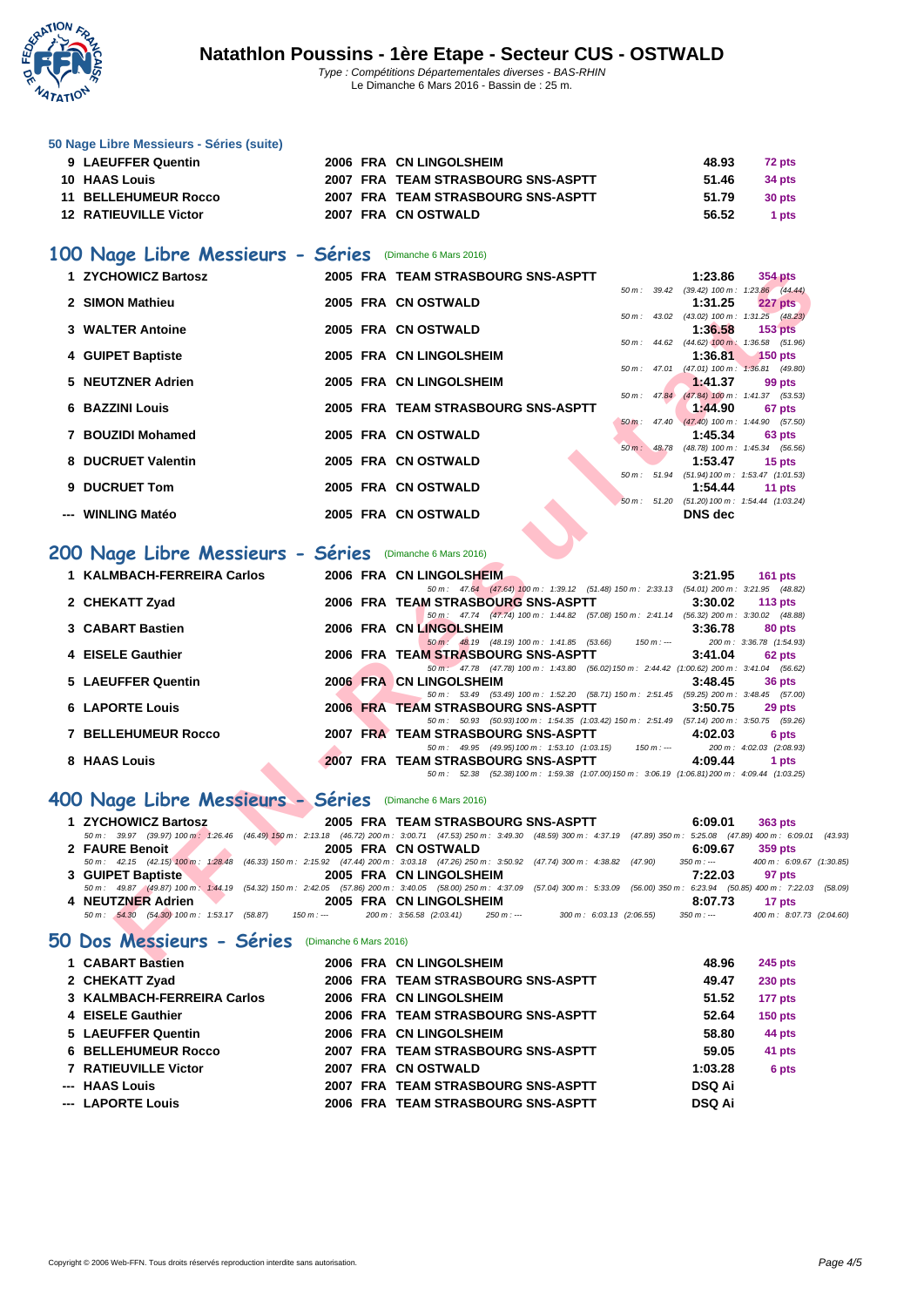

#### **[50 Nage L](http://www.ffnatation.fr/webffn/index.php)ibre Messieurs - Séries (suite)**

| 9 LAEUFFER Quentin           |  | 2006 FRA CN LINGOLSHEIM            | 48.93 | 72 pts |
|------------------------------|--|------------------------------------|-------|--------|
| <b>10 HAAS Louis</b>         |  | 2007 FRA TEAM STRASBOURG SNS-ASPTT | 51.46 | 34 pts |
| 11 BELLEHUMEUR Rocco         |  | 2007 FRA TEAM STRASBOURG SNS-ASPTT | 51.79 | 30 pts |
| <b>12 RATIEUVILLE Victor</b> |  | 2007 FRA CN OSTWALD                | 56.52 | 1 pts  |

## **100 Nage Libre Messieurs - Séries** (Dimanche 6 Mars 2016)

| 1 ZYCHOWICZ Bartosz                                                                                                                                                                      |  | 2005 FRA TEAM STRASBOURG SNS-ASPTT                                                                                  |             | 1:23.86               | 354 pts                                                          |
|------------------------------------------------------------------------------------------------------------------------------------------------------------------------------------------|--|---------------------------------------------------------------------------------------------------------------------|-------------|-----------------------|------------------------------------------------------------------|
| 2 SIMON Mathieu                                                                                                                                                                          |  | 2005 FRA CN OSTWALD                                                                                                 |             | 1:31.25               | 50 m: 39.42 (39.42) 100 m: 1:23.86 (44.44)<br>227 pts            |
|                                                                                                                                                                                          |  |                                                                                                                     |             |                       | 50 m: 43.02 (43.02) 100 m: 1:31.25 (48.23)                       |
| 3 WALTER Antoine                                                                                                                                                                         |  | 2005 FRA CN OSTWALD                                                                                                 |             | 1:36.58               | 153 <sub>pts</sub><br>50 m: 44.62 (44.62) 100 m: 1:36.58 (51.96) |
| 4 GUIPET Baptiste                                                                                                                                                                        |  | 2005 FRA CN LINGOLSHEIM                                                                                             |             | 1:36.81               | $150$ pts                                                        |
|                                                                                                                                                                                          |  |                                                                                                                     |             |                       | 50 m: 47.01 (47.01) 100 m: 1:36.81 (49.80)                       |
| 5 NEUTZNER Adrien                                                                                                                                                                        |  | 2005 FRA CN LINGOLSHEIM                                                                                             |             | 1:41.37               | 99 pts                                                           |
| <b>6 BAZZINI Louis</b>                                                                                                                                                                   |  | 2005 FRA TEAM STRASBOURG SNS-ASPTT                                                                                  | 50 m: 47.84 | 1:44.90               | (47.84) 100 m: 1:41.37 (53.53)<br>67 pts                         |
|                                                                                                                                                                                          |  |                                                                                                                     |             |                       | 50 m : 47.40 (47.40) 100 m : 1:44.90 (57.50)                     |
| 7 BOUZIDI Mohamed                                                                                                                                                                        |  | 2005 FRA CN OSTWALD                                                                                                 |             | 1:45.34               | 63 pts                                                           |
| 8 DUCRUET Valentin                                                                                                                                                                       |  | 2005 FRA CN OSTWALD                                                                                                 |             | 1:53.47               | 50 m: 48.78 (48.78) 100 m: 1:45.34 (56.56)<br>15 pts             |
|                                                                                                                                                                                          |  |                                                                                                                     |             |                       | 50 m: 51.94 (51.94) 100 m: 1:53.47 (1:01.53)                     |
| 9 DUCRUET Tom                                                                                                                                                                            |  | 2005 FRA CN OSTWALD                                                                                                 |             | 1:54.44               | 11 pts                                                           |
|                                                                                                                                                                                          |  |                                                                                                                     |             |                       | 50 m: 51.20 (51.20) 100 m: 1:54.44 (1:03.24)                     |
| ---   WINLING Matéo                                                                                                                                                                      |  | 2005 FRA CN OSTWALD                                                                                                 |             | <b>DNS</b> dec        |                                                                  |
|                                                                                                                                                                                          |  |                                                                                                                     |             |                       |                                                                  |
| 00 Nage Libre Messieurs - Séries (Dimanche 6 Mars 2016)                                                                                                                                  |  |                                                                                                                     |             |                       |                                                                  |
| 1 KALMBACH-FERREIRA Carlos                                                                                                                                                               |  | 2006 FRA CN LINGOLSHEIM                                                                                             |             | 3:21.95               | <b>161 pts</b>                                                   |
|                                                                                                                                                                                          |  | 50 m: 47.64 (47.64) 100 m: 1:39.12 (51.48) 150 m: 2:33.13 (54.01) 200 m: 3:21.95 (48.82)                            |             |                       |                                                                  |
| 2 CHEKATT Zyad                                                                                                                                                                           |  | 2006 FRA TEAM STRASBOURG SNS-ASPTT                                                                                  |             | 3:30.02               | 113 $pts$                                                        |
| 3 CABART Bastien                                                                                                                                                                         |  | 50 m: 47.74 (47.74) 100 m: 1:44.82 (57.08) 150 m: 2:41.14 (56.32) 200 m: 3:30.02 (48.88)<br>2006 FRA CN LINGOLSHEIM |             | 3:36.78               | 80 pts                                                           |
|                                                                                                                                                                                          |  | 50 m : 48.19 (48.19) 100 m : 1:41.85 (53.66)                                                                        | $150 m: -$  |                       | 200 m: 3:36.78 (1:54.93)                                         |
| 4 EISELE Gauthier                                                                                                                                                                        |  | 2006 FRA TEAM STRASBOURG SNS-ASPTT                                                                                  |             | 3:41.04               | 62 pts                                                           |
|                                                                                                                                                                                          |  | 50 m: 47.78 (47.78) 100 m: 1:43.80 (56.02) 150 m: 2:44.42 (1:00.62) 200 m: 3:41.04 (56.62)                          |             |                       |                                                                  |
| 5 LAEUFFER Quentin                                                                                                                                                                       |  | 2006 FRA CN LINGOLSHEIM<br>50 m: 53.49 (53.49) 100 m: 1:52.20 (58.71) 150 m: 2:51.45 (59.25) 200 m: 3:48.45 (57.00) |             | 3:48.45               | 36 pts                                                           |
| <b>6 LAPORTE Louis</b>                                                                                                                                                                   |  | 2006 FRA TEAM STRASBOURG SNS-ASPTT                                                                                  |             | 3:50.75               | 29 pts                                                           |
|                                                                                                                                                                                          |  | 50 m : 50.93 (50.93) 100 m : 1:54.35 (1:03.42) 150 m : 2:51.49 (57.14) 200 m : 3:50.75 (59.26)                      |             |                       |                                                                  |
| <b>7 BELLEHUMEUR Rocco</b>                                                                                                                                                               |  | 2007 FRA TEAM STRASBOURG SNS-ASPTT                                                                                  |             | 4:02.03               | 6 pts                                                            |
| 8 HAAS Louis                                                                                                                                                                             |  | 50 m : 49.95 (49.95) 100 m : 1:53.10 (1:03.15)<br>2007 FRA TEAM STRASBOURG SNS-ASPTT                                | $150 m : -$ | 4:09.44               | 200 m: 4:02.03 (2:08.93)<br>1 pts                                |
|                                                                                                                                                                                          |  | 50 m: 52.38 (52.38) 100 m: 1:59.38 (1:07.00) 150 m: 3:06.19 (1:06.81) 200 m: 4:09.44 (1:03.25)                      |             |                       |                                                                  |
|                                                                                                                                                                                          |  |                                                                                                                     |             |                       |                                                                  |
| 00 Nage Libre Messieurs - Séries (Dimanche 6 Mars 2016)                                                                                                                                  |  |                                                                                                                     |             |                       |                                                                  |
| 1 ZYCHOWICZ Bartosz                                                                                                                                                                      |  | 2005 FRA TEAM STRASBOURG SNS-ASPTT                                                                                  |             | 6:09.01               | 363 pts                                                          |
| 50 m : 39.97 (39.97) 100 m : 1:26.46 (46.49) 150 m : 2:13.18 (46.72) 200 m : 3:00.71 (47.53) 250 m : 3:49.30 (48.59) 300 m : 4:37.19 (47.89) 350 m : 5:25.08 (47.89) 400 m : 6:09.01 (43 |  |                                                                                                                     |             |                       |                                                                  |
| 2 FAURE Benoit<br>50 m : 42.15 (42.15) 100 m : 1:28.48 (46.33) 150 m : 2:15.92 (47.44) 200 m : 3:03.18 (47.26) 250 m : 3:50.92 (47.74) 300 m : 4:38.82 (47.90)                           |  | 2005 FRA CN OSTWALD                                                                                                 |             | 6:09.67<br>$350 m: -$ | 359 pts<br>400 m : 6:09.67 (1:30                                 |
| 3 GUIPET Baptiste                                                                                                                                                                        |  | 2005 FRA CN LINGOLSHEIM                                                                                             |             | 7:22.03               | 97 pts                                                           |
| 50 m: 49.87 (49.87) 100 m: 1:44.19 (54.32) 150 m: 2:42.05 (57.86) 200 m: 3:40.05 (58.00) 250 m: 4:37.09 (57.04) 300 m: 5:33.09 (56.00) 350 m: 6:23.94 (50.85) 400 m: 7:22.03 (58         |  |                                                                                                                     |             |                       |                                                                  |
| 4 NEUTZNER Adrien                                                                                                                                                                        |  | 2005 FRA CN LINGOLSHEIM                                                                                             |             | 8:07.73               | 17 pts                                                           |
| 50 m : 54.30 (54.30) 100 m : 1:53.17 (58.87)<br>$150 m : -$                                                                                                                              |  | $250 m : -$<br>200 m: 3:56.58 (2:03.41)<br>300 m : 6:03.13 (2:06.55)                                                |             | $350 m: -$            | 400 m : 8:07.73 (2:04                                            |
| O Dos Messieurs - Séries (Dimanche 6 Mars 2016)                                                                                                                                          |  |                                                                                                                     |             |                       |                                                                  |
| 4 CADADT Design                                                                                                                                                                          |  | 2006 EDA CHILINOOLOUEIM                                                                                             |             |                       | $AOOC = OAC = 46$                                                |

## **200 Nage Libre Messieurs - Séries** (Dimanche 6 Mars 2016)

| 1 KALMBACH-FERREIRA Carlos |  | 2006 FRA CN LINGOLSHEIM                                                                           | 3:21.95 | 161 pts                  |
|----------------------------|--|---------------------------------------------------------------------------------------------------|---------|--------------------------|
|                            |  | 50 m: 47.64 (47.64) 100 m: 1:39.12 (51.48) 150 m: 2:33.13 (54.01) 200 m: 3:21.95 (48.82)          |         |                          |
| 2 CHEKATT Zyad             |  | 2006 FRA TEAM STRASBOURG SNS-ASPTT                                                                | 3:30.02 | $113$ pts                |
|                            |  | 50 m: 47.74 (47.74) 100 m: 1:44.82 (57.08) 150 m: 2:41.14 (56.32) 200 m: 3:30.02 (48.88)          |         |                          |
| 3 CABART Bastien           |  | 2006 FRA CN LINGOLSHEIM                                                                           | 3:36.78 | 80 pts                   |
|                            |  | 50 m : 48.19 (48.19) 100 m : 1:41.85 (53.66)<br>$150 m : -$                                       |         | 200 m: 3:36.78 (1:54.93) |
| 4 EISELE Gauthier          |  | 2006 FRA TEAM STRASBOURG SNS-ASPTT                                                                | 3:41.04 | 62 pts                   |
|                            |  | 50 m : 47.78 (47.78) 100 m : 1:43.80 (56.02) 150 m : 2:44.42 (1:00.62) 200 m : 3:41.04 (56.62)    |         |                          |
| 5 LAEUFFER Quentin         |  | 2006 FRA CN LINGOLSHEIM                                                                           | 3:48.45 | 36 pts                   |
|                            |  | 50 m: 53.49 (53.49) 100 m: 1:52.20 (58.71) 150 m: 2:51.45 (59.25) 200 m: 3:48.45 (57.00)          |         |                          |
| <b>6 LAPORTE Louis</b>     |  | 2006 FRA TEAM STRASBOURG SNS-ASPTT                                                                | 3:50.75 | 29 pts                   |
|                            |  | 50 m: 50.93 (50.93) 100 m: 1:54.35 (1:03.42) 150 m: 2:51.49 (57.14) 200 m: 3:50.75 (59.26)        |         |                          |
| <b>7 BELLEHUMEUR Rocco</b> |  | 2007 FRA TEAM STRASBOURG SNS-ASPTT                                                                | 4:02.03 | 6 pts                    |
|                            |  | $150 m : -$<br>50 m : 49.95 (49.95) 100 m : 1:53.10 (1:03.15)                                     |         | 200 m: 4:02.03 (2:08.93) |
| 8 HAAS Louis               |  | 2007 FRA TEAM STRASBOURG SNS-ASPTT                                                                | 4:09.44 | 1 pts                    |
|                            |  | (52.38) 100 m: 1:59.38 (1:07.00) 150 m: 3:06.19 (1:06.81) 200 m: 4:09.44 (1:03.25)<br>50 m: 52.38 |         |                          |

# **400 Nage Libre Messieurs - Séries** (Dimanche 6 Mars 2016)

| 2005 FRA TEAM STRASBOURG SNS-ASPTT<br>1 ZYCHOWICZ Bartosz<br>363 pts<br>6:09.01<br>50 m: 39.97 (39.97) 100 m: 1:26.46 (46.49) 150 m: 2:13.18 (46.72) 200 m: 3:00.71 (47.53) 250 m: 3:49.30 (48.59) 300 m: 4:37.19 (47.89) 350 m: 5:25.08 (47.89) 400 m: 6:09.01 (43.93)<br>2 FAURE Benoit<br>2005 FRA CN OSTWALD<br>6:09.67<br>359 pts<br>400 m: 6:09.67 (1:30.85)<br>50 m: 42.15 (42.15) 100 m: 1:28.48 (46.33) 150 m: 2:15.92 (47.44) 200 m: 3:03.18 (47.26) 250 m: 3:50.92 (47.74) 300 m: 4:38.82 (47.90)<br>350 m : ---<br>3 GUIPET Baptiste<br>2005 FRA CN LINGOLSHEIM<br>7:22.03<br>97 pts<br>50 m: 49.87 (49.87) 100 m: 1:44.19 (54.32) 150 m: 2:42.05 (57.86) 200 m: 3:40.05 (58.00) 250 m: 4:37.09 (57.04) 300 m: 5:33.09 (56.00) 350 m: 6:23.94 (50.85) 400 m: 7:22.03 (58.09)<br>4 NEUTZNER Adrien<br>2005 FRA CN LINGOLSHEIM<br>8:07.73<br>17 pts<br>400 m : 8:07.73 (2:04.60)<br>50 m : 54.30 (54.30) 100 m : 1:53.17 (58.87)<br>300 m : 6:03.13 (2:06.55)<br>150 m : --- 200 m : 3:56.58 (2:03.41)<br>$350 m : -$<br>250 m : --- |  |  |  |
|------------------------------------------------------------------------------------------------------------------------------------------------------------------------------------------------------------------------------------------------------------------------------------------------------------------------------------------------------------------------------------------------------------------------------------------------------------------------------------------------------------------------------------------------------------------------------------------------------------------------------------------------------------------------------------------------------------------------------------------------------------------------------------------------------------------------------------------------------------------------------------------------------------------------------------------------------------------------------------------------------------------------------------------------|--|--|--|
|                                                                                                                                                                                                                                                                                                                                                                                                                                                                                                                                                                                                                                                                                                                                                                                                                                                                                                                                                                                                                                                |  |  |  |
|                                                                                                                                                                                                                                                                                                                                                                                                                                                                                                                                                                                                                                                                                                                                                                                                                                                                                                                                                                                                                                                |  |  |  |
|                                                                                                                                                                                                                                                                                                                                                                                                                                                                                                                                                                                                                                                                                                                                                                                                                                                                                                                                                                                                                                                |  |  |  |
|                                                                                                                                                                                                                                                                                                                                                                                                                                                                                                                                                                                                                                                                                                                                                                                                                                                                                                                                                                                                                                                |  |  |  |
|                                                                                                                                                                                                                                                                                                                                                                                                                                                                                                                                                                                                                                                                                                                                                                                                                                                                                                                                                                                                                                                |  |  |  |
|                                                                                                                                                                                                                                                                                                                                                                                                                                                                                                                                                                                                                                                                                                                                                                                                                                                                                                                                                                                                                                                |  |  |  |
|                                                                                                                                                                                                                                                                                                                                                                                                                                                                                                                                                                                                                                                                                                                                                                                                                                                                                                                                                                                                                                                |  |  |  |
|                                                                                                                                                                                                                                                                                                                                                                                                                                                                                                                                                                                                                                                                                                                                                                                                                                                                                                                                                                                                                                                |  |  |  |

## **50 Dos Messieurs - Séries** (Dimanche 6 Mars 2016)

| 1 CABART Bastien           |  | 2006 FRA CN LINGOLSHEIM            | 48.96         | <b>245 pts</b> |
|----------------------------|--|------------------------------------|---------------|----------------|
| 2 CHEKATT Zyad             |  | 2006 FRA TEAM STRASBOURG SNS-ASPTT | 49.47         | <b>230 pts</b> |
| 3 KALMBACH-FERREIRA Carlos |  | 2006 FRA CN LINGOLSHEIM            | 51.52         | 177 pts        |
| 4 EISELE Gauthier          |  | 2006 FRA TEAM STRASBOURG SNS-ASPTT | 52.64         | <b>150 pts</b> |
| 5 LAEUFFER Quentin         |  | 2006 FRA CN LINGOLSHEIM            | 58.80         | 44 pts         |
| <b>6 BELLEHUMEUR Rocco</b> |  | 2007 FRA TEAM STRASBOURG SNS-ASPTT | 59.05         | 41 pts         |
| 7 RATIEUVILLE Victor       |  | 2007 FRA CN OSTWALD                | 1:03.28       | 6 pts          |
| --- HAAS Louis             |  | 2007 FRA TEAM STRASBOURG SNS-ASPTT | <b>DSQ Ai</b> |                |
| --- LAPORTE Louis          |  | 2006 FRA TEAM STRASBOURG SNS-ASPTT | <b>DSQ Ai</b> |                |